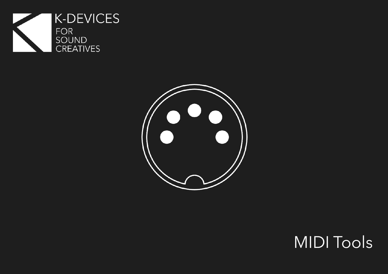



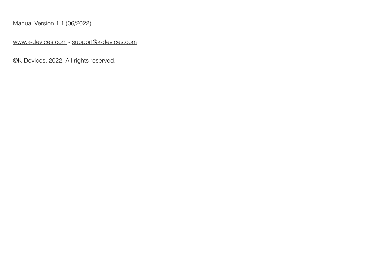Manual Version 1.1 (06/2022)

[www.k-devices.com](http://www.k-devices.com) - [support@k-devices.com](mailto:support@k-devices.com)

©K-Devices, 2022. All rights reserved.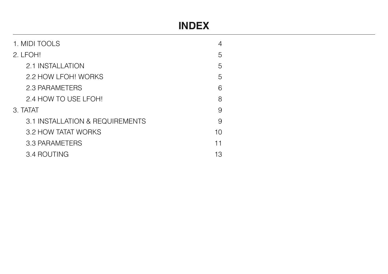# **INDEX**

| 1. MIDI TOOLS                   | 4  |
|---------------------------------|----|
| 2. LFOH!                        | 5  |
| 2.1 INSTALLATION                | 5  |
| 2.2 HOW LFOH! WORKS             | 5  |
| 2.3 PARAMETERS                  | 6  |
| 2.4 HOW TO USE LFOH!            | 8  |
| 3. TATAT                        | 9  |
| 3.1 INSTALLATION & REQUIREMENTS | 9  |
| 3.2 HOW TATAT WORKS             | 10 |
| 3.3 PARAMETERS                  | 11 |
| 3.4 ROUTING                     | 13 |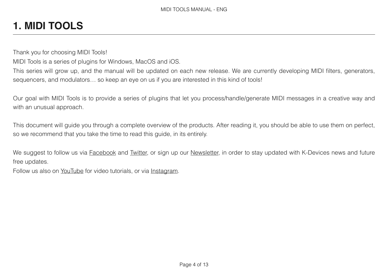# <span id="page-3-0"></span>**1. MIDI TOOLS**

Thank you for choosing MIDI Tools!

MIDI Tools is a series of plugins for Windows, MacOS and iOS.

This series will grow up, and the manual will be updated on each new release. We are currently developing MIDI filters, generators, sequencers, and modulators… so keep an eye on us if you are interested in this kind of tools!

Our goal with MIDI Tools is to provide a series of plugins that let you process/handle/generate MIDI messages in a creative way and with an unusual approach.

This document will guide you through a complete overview of the products. After reading it, you should be able to use them on perfect, so we recommend that you take the time to read this guide, in its entirely.

We suggest to follow us via **Facebook** and [Twitter,](http://www.twitter.com/kdevices/) or sign up our [Newsletter,](http://eepurl.com/dA89L) in order to stay updated with K-Devices news and future free updates.

Follow us also on [YouTube](http://youtube.com/kdevices) for video tutorials, or via [Instagram.](http://instagram.com/kdevices/)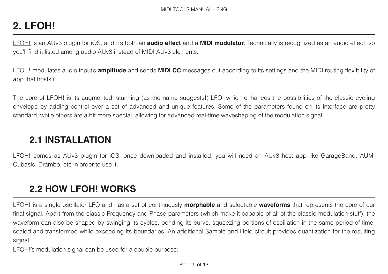# <span id="page-4-0"></span>**2. LFOH!**

[LFOH!](https://apple.co/3MpPY6o) is an AUv3 plugin for iOS, and it's both an **audio effect** and a **MIDI modulator**. Technically is recognized as an audio effect, so you'll find it listed among audio AUv3 instead of MIDI AUv3 elements.

LFOH! modulates audio input's **amplitude** and sends **MIDI CC** messages out according to its settings and the MIDI routing flexibility of app that hosts it.

The core of LFOH! is its augmented, stunning (as the name suggests!) LFO, which enhances the possibilities of the classic cycling envelope by adding control over a set of advanced and unique features. Some of the parameters found on its interface are pretty standard, while others are a bit more special, allowing for advanced real-time waveshaping of the modulation signal.

### **2.1 INSTALLATION**

<span id="page-4-1"></span>LFOH! comes as AUv3 plugin for iOS: once downloaded and installed, you will need an AUv3 host app like GarageBand, AUM, Cubasis, Drambo, etc in order to use it.

### <span id="page-4-2"></span>**2.2 HOW LFOH! WORKS**

LFOH! is a single oscillator LFO and has a set of continuously **morphable** and selectable **waveforms** that represents the core of our final signal. Apart from the classic Frequency and Phase parameters (which make it capable of all of the classic modulation stuff), the waveform can also be shaped by swinging its cycles, bending its curve, squeezing portions of oscillation in the same period of time, scaled and transformed while exceeding its boundaries. An additional Sample and Hold circuit provides quantization for the resulting signal.

LFOH!'s modulation signal can be used for a double purpose: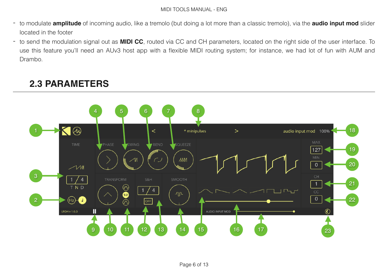#### MIDI TOOLS MANUAL - ENG

- to modulate **amplitude** of incoming audio, like a tremolo (but doing a lot more than a classic tremolo), via the **audio input mod** slider located in the footer
- to send the modulation signal out as **MIDI CC**, routed via CC and CH parameters, located on the right side of the user interface. To use this feature you'll need an AUv3 host app with a flexible MIDI routing system; for instance, we had lot of fun with AUM and Drambo.

### <span id="page-5-0"></span>**2.3 PARAMETERS**

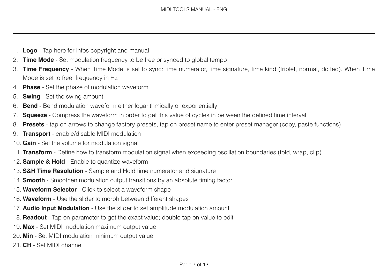- 1. **Logo** Tap here for infos copyright and manual
- 2. **Time Mode** Set modulation frequency to be free or synced to global tempo
- 3. **Time Frequency** When Time Mode is set to sync: time numerator, time signature, time kind (triplet, normal, dotted). When Time Mode is set to free: frequency in Hz
- 4. **Phase** Set the phase of modulation waveform
- 5. **Swing** Set the swing amount
- 6. **Bend** Bend modulation waveform either logarithmically or exponentially
- 7. **Squeeze** Compress the waveform in order to get this value of cycles in between the defined time interval
- 8. **Presets** tap on arrows to change factory presets, tap on preset name to enter preset manager (copy, paste functions)
- 9. **Transport** enable/disable MIDI modulation
- 10. **Gain** Set the volume for modulation signal
- 11. **Transform** Define how to transform modulation signal when exceeding oscillation boundaries (fold, wrap, clip)
- 12. **Sample & Hold** Enable to quantize waveform
- 13. **S&H Time Resolution** Sample and Hold time numerator and signature
- 14. **Smooth** Smoothen modulation output transitions by an absolute timing factor
- 15. **Waveform Selector** Click to select a waveform shape
- 16. **Waveform** Use the slider to morph between different shapes
- 17. **Audio Input Modulation** Use the slider to set amplitude modulation amount
- 18. **Readout** Tap on parameter to get the exact value; double tap on value to edit
- 19. **Max** Set MIDI modulation maximum output value
- 20. **Min** Set MIDI modulation minimum output value
- 21. **CH** Set MIDI channel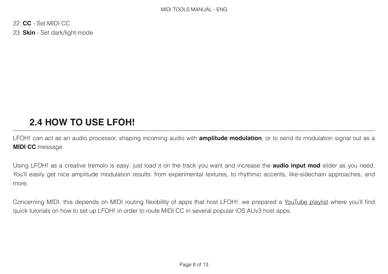22. **CC** - Set MIDI CC 23. **Skin** - Set dark/light mode

## <span id="page-7-0"></span>**2.4 HOW TO USE LFOH!**

LFOH! can act as an audio processor, shaping incoming audio with **amplitude modulation**, or to send its modulation signal out as a **MIDI CC** message.

Using LFOH! as a creative tremolo is easy: just load it on the track you want and increase the **audio input mod** slider as you need. You'll easily get nice amplitude modulation results: from experimental textures, to rhythmic accents, like-sidechain approaches, and more.

Concerning MIDI, this depends on MIDI routing flexibility of apps that host LFOH!: we prepared a [YouTube playlist](https://www.youtube.com/playlist?list=PL7PPNWIkMXKyREbk0h9NyxyOYsEv55Yms) where you'll find quick tutorials on how to set up LFOH! in order to route MIDI CC in several popular iOS AUv3 host apps.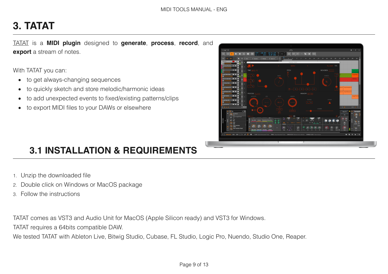# <span id="page-8-0"></span>**3. TATAT**

[TATAT](https://k-devices.com/products/tatat/) is a **MIDI plugin** designed to **generate**, **process**, **record**, and **export** a stream of notes.

With TATAT you can:

- to get always-changing sequences
- to quickly sketch and store melodic/harmonic ideas
- to add unexpected events to fixed/existing patterns/clips
- to export MIDI files to your DAWs or elsewhere



# <span id="page-8-1"></span>**3.1 INSTALLATION & REQUIREMENTS**

- 1. Unzip the downloaded file
- 2. Double click on Windows or MacOS package
- 3. Follow the instructions

TATAT comes as VST3 and Audio Unit for MacOS (Apple Silicon ready) and VST3 for Windows.

TATAT requires a 64bits compatible DAW.

We tested TATAT with Ableton Live, Bitwig Studio, Cubase, FL Studio, Logic Pro, Nuendo, Studio One, Reaper.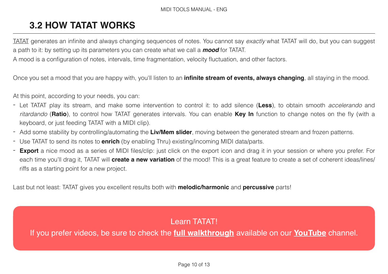#### MIDI TOOLS MANUAL - ENG

## <span id="page-9-0"></span>**3.2 HOW TATAT WORKS**

[TATAT](https://k-devices.com/products/tatat/) generates an infinite and always changing sequences of notes. You cannot say *exactly* what TATAT will do, but you can suggest a path to it: by setting up its parameters you can create what we call a *mood* for TATAT.

A mood is a configuration of notes, intervals, time fragmentation, velocity fluctuation, and other factors.

Once you set a mood that you are happy with, you'll listen to an **infinite stream of events, always changing**, all staying in the mood.

At this point, according to your needs, you can:

- Let TATAT play its stream, and make some intervention to control it: to add silence (**Less**), to obtain smooth *accelerando* and *ritardando* (**Ratio**), to control how TATAT generates intervals. You can enable **Key In** function to change notes on the fly (with a keyboard, or just feeding TATAT with a MIDI clip).
- Add some stability by controlling/automating the **Liv/Mem slider**, moving between the generated stream and frozen patterns.
- Use TATAT to send its notes to **enrich** (by enabling Thru) existing/incoming MIDI data/parts.
- **Export** a nice mood as a series of MIDI files/clip: just click on the export icon and drag it in your session or where you prefer. For each time you'll drag it, TATAT will **create a new variation** of the mood! This is a great feature to create a set of coherent ideas/lines/ riffs as a starting point for a new project.

Last but not least: TATAT gives you excellent results both with **melodic/harmonic** and **percussive** parts!

#### Learn TATAT!

If you prefer videos, be sure to check the **[full walkthrough](https://youtu.be/QOTzDrqiVQk)** available on our **[YouTube](https://youtu.be/QOTzDrqiVQk)** channel.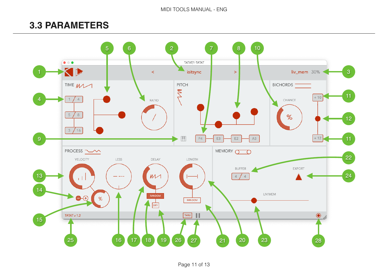#### **3.3 PARAMETERS**

<span id="page-10-0"></span>

Page 11 of 13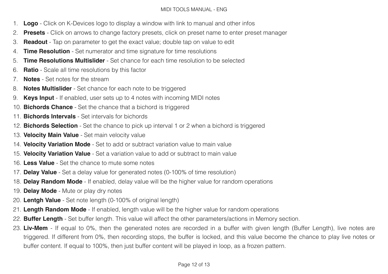#### MIDI TOOLS MANUAL - ENG

- 1. **Logo** Click on K-Devices logo to display a window with link to manual and other infos
- 2. **Presets** Click on arrows to change factory presets, click on preset name to enter preset manager
- 3. **Readout** Tap on parameter to get the exact value; double tap on value to edit
- 4. **Time Resolution** Set numerator and time signature for time resolutions
- 5. **Time Resolutions Multislider** Set chance for each time resolution to be selected
- 6. **Ratio** Scale all time resolutions by this factor
- 7. **Notes** Set notes for the stream
- 8. **Notes Multislider** Set chance for each note to be triggered
- 9. **Keys Input** If enabled, user sets up to 4 notes with incoming MIDI notes
- 10. **Bichords Chance**  Set the chance that a bichord is triggered
- 11. **Bichords Intervals**  Set intervals for bichords
- 12. **Bichords Selection**  Set the chance to pick up interval 1 or 2 when a bichord is triggered
- 13. **Velocity Main Value**  Set main velocity value
- 14. **Velocity Variation Mode**  Set to add or subtract variation value to main value
- 15. **Velocity Variation Value**  Set a variation value to add or subtract to main value
- 16. **Less Value**  Set the chance to mute some notes
- 17. **Delay Value**  Set a delay value for generated notes (0-100% of time resolution)
- 18. **Delay Random Mode**  If enabled, delay value will be the higher value for random operations
- 19. **Delay Mode**  Mute or play dry notes
- 20. **Lentgh Value**  Set note length (0-100% of original length)
- 21. **Length Random Mode**  If enabled, length value will be the higher value for random operations
- 22. **Buffer Length** Set buffer length. This value will affect the other parameters/actions in Memory section.
- 23. **Liv-Mem**  If equal to 0%, then the generated notes are recorded in a buffer with given length (Buffer Length), live notes are triggered. If different from 0%, then recording stops, the buffer is locked, and this value become the chance to play live notes or buffer content. If equal to 100%, then just buffer content will be played in loop, as a frozen pattern.